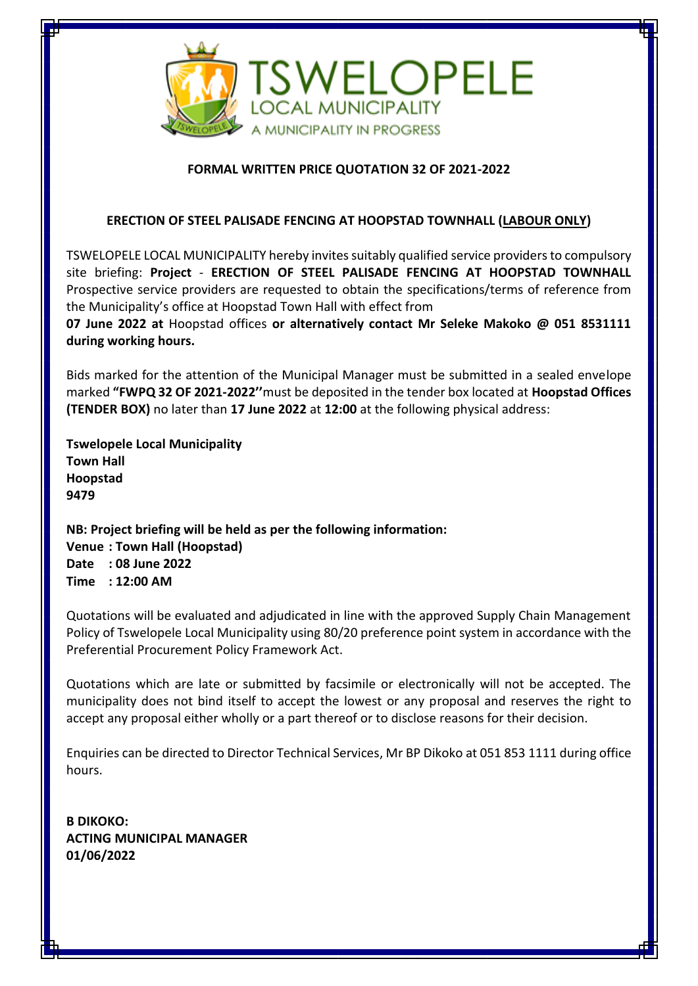

## **FORMAL WRITTEN PRICE QUOTATION 32 OF 2021-2022**

## **ERECTION OF STEEL PALISADE FENCING AT HOOPSTAD TOWNHALL (LABOUR ONLY)**

TSWELOPELE LOCAL MUNICIPALITY hereby invites suitably qualified service providersto compulsory site briefing: **Project** - **ERECTION OF STEEL PALISADE FENCING AT HOOPSTAD TOWNHALL** Prospective service providers are requested to obtain the specifications/terms of reference from the Municipality's office at Hoopstad Town Hall with effect from

**07 June 2022 at** Hoopstad offices **or alternatively contact Mr Seleke Makoko @ 051 8531111 during working hours.**

Bids marked for the attention of the Municipal Manager must be submitted in a sealed envelope marked **"FWPQ 32 OF 2021-2022''**must be deposited in the tender box located at **Hoopstad Offices (TENDER BOX)** no later than **17 June 2022** at **12:00** at the following physical address:

**Tswelopele Local Municipality Town Hall Hoopstad 9479**

**NB: Project briefing will be held as per the following information: Venue : Town Hall (Hoopstad) Date : 08 June 2022 Time : 12:00 AM**

Quotations will be evaluated and adjudicated in line with the approved Supply Chain Management Policy of Tswelopele Local Municipality using 80/20 preference point system in accordance with the Preferential Procurement Policy Framework Act.

Quotations which are late or submitted by facsimile or electronically will not be accepted. The municipality does not bind itself to accept the lowest or any proposal and reserves the right to accept any proposal either wholly or a part thereof or to disclose reasons for their decision.

Enquiries can be directed to Director Technical Services, Mr BP Dikoko at 051 853 1111 during office hours.

**B DIKOKO: ACTING MUNICIPAL MANAGER 01/06/2022**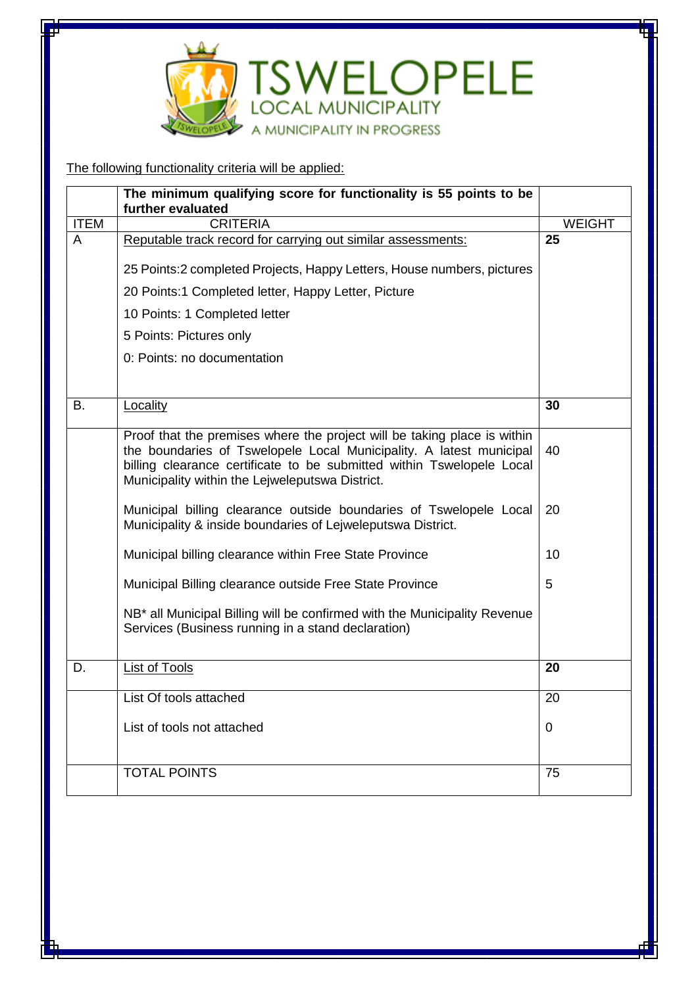

The following functionality criteria will be applied:

|                | The minimum qualifying score for functionality is 55 points to be<br>further evaluated                                                                                                                                                                                      |               |
|----------------|-----------------------------------------------------------------------------------------------------------------------------------------------------------------------------------------------------------------------------------------------------------------------------|---------------|
| <b>ITEM</b>    | <b>CRITERIA</b>                                                                                                                                                                                                                                                             | <b>WEIGHT</b> |
| $\overline{A}$ | Reputable track record for carrying out similar assessments:                                                                                                                                                                                                                | 25            |
|                | 25 Points: 2 completed Projects, Happy Letters, House numbers, pictures                                                                                                                                                                                                     |               |
|                | 20 Points:1 Completed letter, Happy Letter, Picture                                                                                                                                                                                                                         |               |
|                | 10 Points: 1 Completed letter                                                                                                                                                                                                                                               |               |
|                | 5 Points: Pictures only                                                                                                                                                                                                                                                     |               |
|                | 0: Points: no documentation                                                                                                                                                                                                                                                 |               |
| В.             | Locality                                                                                                                                                                                                                                                                    | 30            |
|                | Proof that the premises where the project will be taking place is within<br>the boundaries of Tswelopele Local Municipality. A latest municipal<br>billing clearance certificate to be submitted within Tswelopele Local<br>Municipality within the Lejweleputswa District. | 40            |
|                | Municipal billing clearance outside boundaries of Tswelopele Local<br>Municipality & inside boundaries of Lejweleputswa District.                                                                                                                                           | 20            |
|                | Municipal billing clearance within Free State Province                                                                                                                                                                                                                      | 10            |
|                | Municipal Billing clearance outside Free State Province                                                                                                                                                                                                                     | 5             |
|                | NB <sup>*</sup> all Municipal Billing will be confirmed with the Municipality Revenue<br>Services (Business running in a stand declaration)                                                                                                                                 |               |
| D.             | <b>List of Tools</b>                                                                                                                                                                                                                                                        | 20            |
|                | List Of tools attached                                                                                                                                                                                                                                                      | 20            |
|                | List of tools not attached                                                                                                                                                                                                                                                  | 0             |
|                | <b>TOTAL POINTS</b>                                                                                                                                                                                                                                                         | 75            |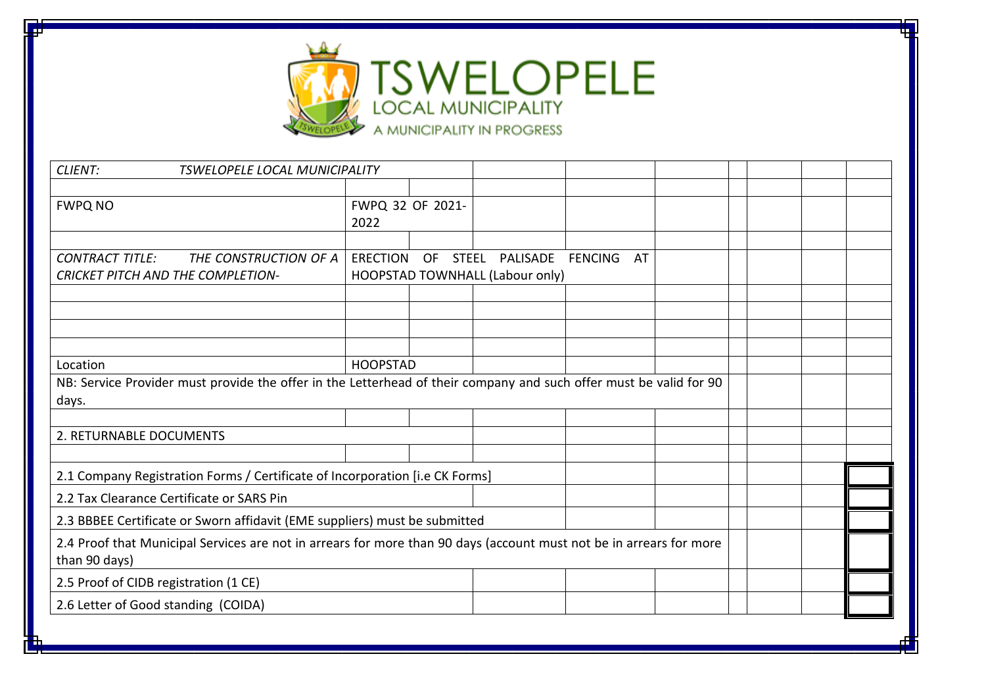

| CLIENT:<br><b>TSWELOPELE LOCAL MUNICIPALITY</b>                                                                                      |                                                                              |                  |                                 |            |  |  |  |  |
|--------------------------------------------------------------------------------------------------------------------------------------|------------------------------------------------------------------------------|------------------|---------------------------------|------------|--|--|--|--|
|                                                                                                                                      |                                                                              |                  |                                 |            |  |  |  |  |
| <b>FWPQ NO</b>                                                                                                                       |                                                                              | FWPQ 32 OF 2021- |                                 |            |  |  |  |  |
|                                                                                                                                      | 2022                                                                         |                  |                                 |            |  |  |  |  |
|                                                                                                                                      |                                                                              |                  |                                 |            |  |  |  |  |
| <b>CONTRACT TITLE:</b><br>THE CONSTRUCTION OF A                                                                                      | <b>ERECTION</b>                                                              | <b>OF</b>        | STEEL PALISADE                  | FENCING AT |  |  |  |  |
| <b>CRICKET PITCH AND THE COMPLETION-</b>                                                                                             |                                                                              |                  | HOOPSTAD TOWNHALL (Labour only) |            |  |  |  |  |
|                                                                                                                                      |                                                                              |                  |                                 |            |  |  |  |  |
|                                                                                                                                      |                                                                              |                  |                                 |            |  |  |  |  |
|                                                                                                                                      |                                                                              |                  |                                 |            |  |  |  |  |
|                                                                                                                                      |                                                                              |                  |                                 |            |  |  |  |  |
| Location                                                                                                                             | <b>HOOPSTAD</b>                                                              |                  |                                 |            |  |  |  |  |
| NB: Service Provider must provide the offer in the Letterhead of their company and such offer must be valid for 90                   |                                                                              |                  |                                 |            |  |  |  |  |
| days.                                                                                                                                |                                                                              |                  |                                 |            |  |  |  |  |
|                                                                                                                                      |                                                                              |                  |                                 |            |  |  |  |  |
| 2. RETURNABLE DOCUMENTS                                                                                                              |                                                                              |                  |                                 |            |  |  |  |  |
|                                                                                                                                      |                                                                              |                  |                                 |            |  |  |  |  |
|                                                                                                                                      | 2.1 Company Registration Forms / Certificate of Incorporation [i.e CK Forms] |                  |                                 |            |  |  |  |  |
| 2.2 Tax Clearance Certificate or SARS Pin                                                                                            |                                                                              |                  |                                 |            |  |  |  |  |
| 2.3 BBBEE Certificate or Sworn affidavit (EME suppliers) must be submitted                                                           |                                                                              |                  |                                 |            |  |  |  |  |
| 2.4 Proof that Municipal Services are not in arrears for more than 90 days (account must not be in arrears for more<br>than 90 days) |                                                                              |                  |                                 |            |  |  |  |  |
| 2.5 Proof of CIDB registration (1 CE)                                                                                                |                                                                              |                  |                                 |            |  |  |  |  |
| 2.6 Letter of Good standing (COIDA)                                                                                                  |                                                                              |                  |                                 |            |  |  |  |  |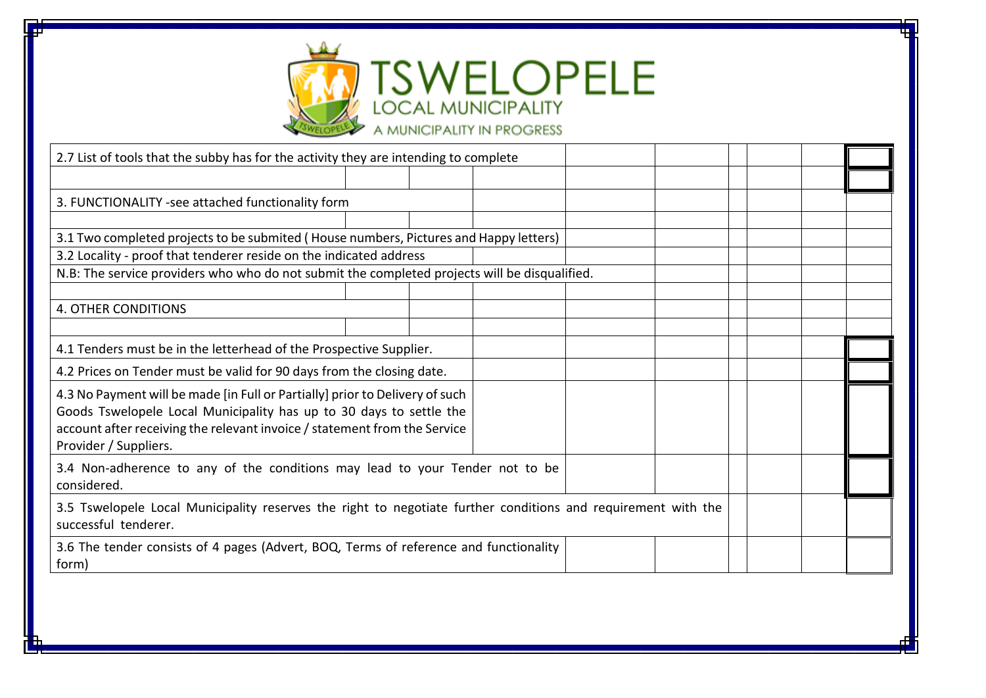

| 2.7 List of tools that the subby has for the activity they are intending to complete                                                                                                                                                                      |  |  |  |  |  |  |  |  |
|-----------------------------------------------------------------------------------------------------------------------------------------------------------------------------------------------------------------------------------------------------------|--|--|--|--|--|--|--|--|
|                                                                                                                                                                                                                                                           |  |  |  |  |  |  |  |  |
| 3. FUNCTIONALITY -see attached functionality form                                                                                                                                                                                                         |  |  |  |  |  |  |  |  |
|                                                                                                                                                                                                                                                           |  |  |  |  |  |  |  |  |
| 3.1 Two completed projects to be submited (House numbers, Pictures and Happy letters)                                                                                                                                                                     |  |  |  |  |  |  |  |  |
| 3.2 Locality - proof that tenderer reside on the indicated address                                                                                                                                                                                        |  |  |  |  |  |  |  |  |
| N.B: The service providers who who do not submit the completed projects will be disqualified.                                                                                                                                                             |  |  |  |  |  |  |  |  |
|                                                                                                                                                                                                                                                           |  |  |  |  |  |  |  |  |
| <b>4. OTHER CONDITIONS</b>                                                                                                                                                                                                                                |  |  |  |  |  |  |  |  |
|                                                                                                                                                                                                                                                           |  |  |  |  |  |  |  |  |
| 4.1 Tenders must be in the letterhead of the Prospective Supplier.                                                                                                                                                                                        |  |  |  |  |  |  |  |  |
| 4.2 Prices on Tender must be valid for 90 days from the closing date.                                                                                                                                                                                     |  |  |  |  |  |  |  |  |
| 4.3 No Payment will be made [in Full or Partially] prior to Delivery of such<br>Goods Tswelopele Local Municipality has up to 30 days to settle the<br>account after receiving the relevant invoice / statement from the Service<br>Provider / Suppliers. |  |  |  |  |  |  |  |  |
| 3.4 Non-adherence to any of the conditions may lead to your Tender not to be<br>considered.                                                                                                                                                               |  |  |  |  |  |  |  |  |
| 3.5 Tswelopele Local Municipality reserves the right to negotiate further conditions and requirement with the<br>successful tenderer.                                                                                                                     |  |  |  |  |  |  |  |  |
| 3.6 The tender consists of 4 pages (Advert, BOQ, Terms of reference and functionality<br>form)                                                                                                                                                            |  |  |  |  |  |  |  |  |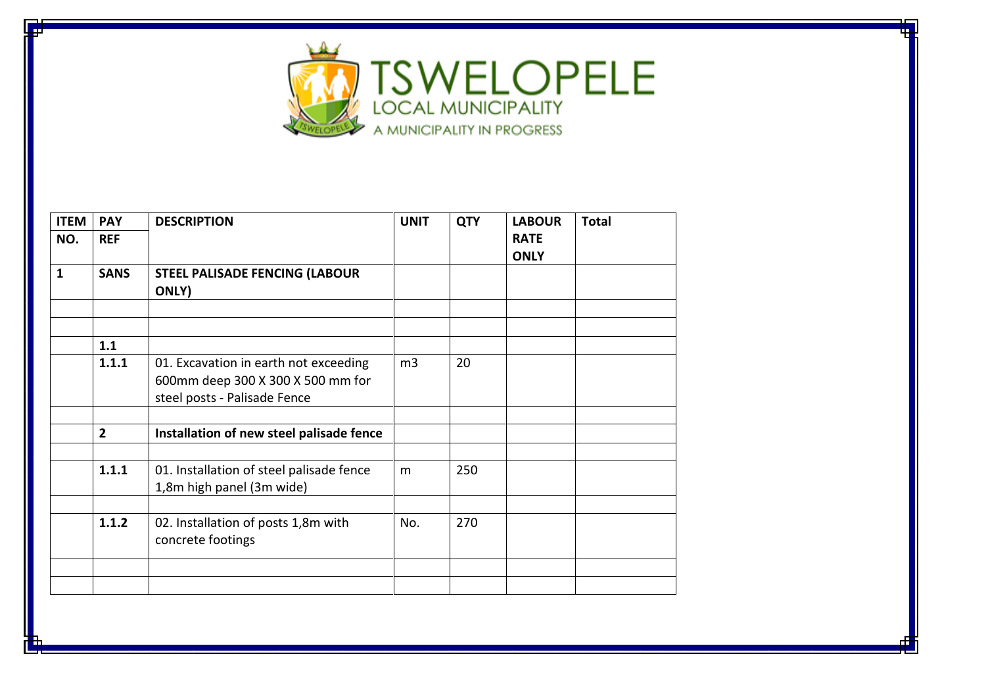

| <b>ITEM</b>  | <b>PAY</b>     | <b>DESCRIPTION</b>                             | <b>UNIT</b>    | <b>QTY</b> | <b>LABOUR</b> | <b>Total</b> |
|--------------|----------------|------------------------------------------------|----------------|------------|---------------|--------------|
| NO.          | <b>REF</b>     |                                                |                |            | <b>RATE</b>   |              |
|              |                |                                                |                |            | <b>ONLY</b>   |              |
| $\mathbf{1}$ | <b>SANS</b>    | <b>STEEL PALISADE FENCING (LABOUR</b><br>ONLY) |                |            |               |              |
|              |                |                                                |                |            |               |              |
|              |                |                                                |                |            |               |              |
|              | 1.1            |                                                |                |            |               |              |
|              | 1.1.1          | 01. Excavation in earth not exceeding          | m <sub>3</sub> | 20         |               |              |
|              |                | 600mm deep 300 X 300 X 500 mm for              |                |            |               |              |
|              |                | steel posts - Palisade Fence                   |                |            |               |              |
|              |                |                                                |                |            |               |              |
|              | $\overline{2}$ | Installation of new steel palisade fence       |                |            |               |              |
|              |                |                                                |                |            |               |              |
|              | 1.1.1          | 01. Installation of steel palisade fence       | m              | 250        |               |              |
|              |                | 1,8m high panel (3m wide)                      |                |            |               |              |
|              |                |                                                |                |            |               |              |
|              | 1.1.2          | 02. Installation of posts 1,8m with            | No.            | 270        |               |              |
|              |                | concrete footings                              |                |            |               |              |
|              |                |                                                |                |            |               |              |
|              |                |                                                |                |            |               |              |